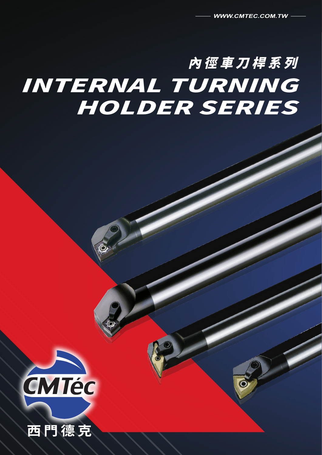# 內徑車刀桿系列 INTERNAL TURNING HOLDER SERIES



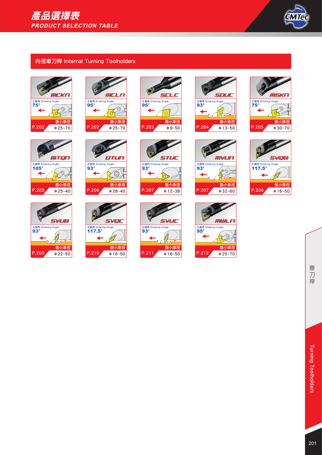

## 內徑車刀桿 Internal Turning Toolholders













主偏角 Entering Angle:<br>95°

**SCL** 

 $\widehat{\text{O}}$ 







 $\phi$ 12~38 P.207  $\phi$ 32~60 最小車徑 P.207





主偏角 Entering Angle:<br>75°

**MSKN** 

 $\bigotimes^{\mathbb{L}}$ 











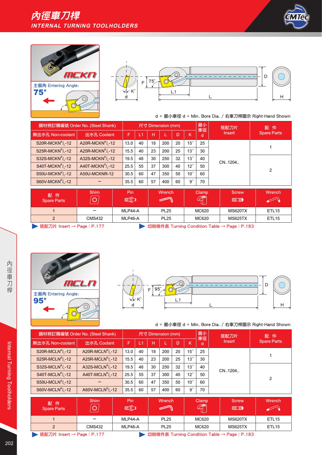





|                                           | 鋼材柄訂購編號 Order No. (Steel Shank)           |      |    |    | 尺寸 Dimension (mm) |    |                 | 最小<br>車徑 | 搭配刀片   | 配件<br><b>Spare Parts</b><br>っ |  |
|-------------------------------------------|-------------------------------------------|------|----|----|-------------------|----|-----------------|----------|--------|-------------------------------|--|
| 無出水孔 Non-coolant                          | 出水孔 Coolant                               | F    | L1 | н  |                   | D  | к               | d        | Insert |                               |  |
| S20R-MCK $N^R$ <sub>1</sub> -12           | A20R-MCK $NR/1$ -12                       | 13.0 | 40 | 18 | 200               | 20 | $15^\circ$      | 25       |        |                               |  |
| $S25R-MCKNR/1 - 12$                       | A25R-MCKN <sup>R</sup> / <sub>1</sub> -12 | 15.5 | 40 | 23 | 200               | 25 | 13 <sup>°</sup> | 30       |        |                               |  |
| S32S-MCKN <sup>R</sup> / <sub>1</sub> -12 | A32S-MCKN <sup>R</sup> / <sub>1</sub> -12 | 19.5 | 48 | 30 | 250               | 32 | 13°             | 40       | CN1204 |                               |  |
| S40T-MCKN <sup>R</sup> / <sub>1</sub> -12 | A40T-MCKN <sup>R</sup> / <sub>1</sub> -12 | 25.5 | 55 | 37 | 300               | 40 | 12 <sup>°</sup> | 50       |        |                               |  |
| S50U-MCKN <sup>R</sup> / <sub>1</sub> -12 | A50U-MCKNR-12                             | 30.5 | 60 | 47 | 350               | 50 | 10 <sup>°</sup> | 60       |        |                               |  |
| S60V-MCKN <sup>R</sup> / <sub>1</sub> -12 |                                           | 35.5 | 60 | 57 | 400               | 60 | $9^{\circ}$     | 70       |        |                               |  |

| 配件<br>Spare Parts                                                        | <b>Shim</b><br>$\overline{\bigcirc}$ | Pin<br><b>INTED</b> | <b>Wrench</b> | Clamp<br>$\mathbb{G}$ | Screw<br><b>CHANGE THE ORIGINAL</b> | Wrench            |  |  |  |
|--------------------------------------------------------------------------|--------------------------------------|---------------------|---------------|-----------------------|-------------------------------------|-------------------|--|--|--|
|                                                                          |                                      | MLP44-A             | <b>PL25</b>   | MC620                 | <b>MS620TX</b>                      | ETL <sub>15</sub> |  |  |  |
|                                                                          | <b>CMS432</b>                        | MLP46-A             | <b>PL25</b>   | MC620                 | <b>MS625TX</b>                      | ETL <sub>15</sub> |  |  |  |
| 搭配刀片 Insert → Page: P.177<br>切削條件表 Turning Condition Table → Page: P.183 |                                      |                     |               |                       |                                     |                   |  |  |  |





### d = 最小車徑 d = Min. Bore Dia. / 右車刀桿圖示 Right-Hand Shown

| 鋼材柄訂購編號 Order No. (Steel Shank)           |                               |                    | 尺寸 Dimension (mm) |    |             |    |                 |         |               | 搭配刀片              | 配件                 |
|-------------------------------------------|-------------------------------|--------------------|-------------------|----|-------------|----|-----------------|---------|---------------|-------------------|--------------------|
| 無出水孔 Non-coolant                          | 出水孔 Coolant                   | F                  | L1                | н  |             | D  | K               | 車徑<br>d | <b>Insert</b> |                   | <b>Spare Parts</b> |
| S20R-MCLN <sup>R</sup> /,-12              | A20R-MCL $NR/1$ -12           | 13.0               | 40                | 18 | 200         | 20 | 15 <sup>°</sup> | 25      |               |                   |                    |
| S25R-MCLN <sup>R</sup> / <sub>1</sub> -12 | A25R-MCL $NR/1$ -12           | 15.5               | 40                | 23 | 200         | 25 | 13 <sup>°</sup> | 30      |               |                   |                    |
| S32S-MCLN $R_1$ -12                       | A32S-MCL $NR/1$ -12           | 19.5               | 48                | 30 | 250         | 32 | 13 <sup>°</sup> | 40      |               | CN1204            | $\overline{2}$     |
| $S40T-MCLNR/L-12$                         | A40T-MCL $NR/1$ -12           | 25.5               | 55                | 37 | 300         | 40 | 12 <sup>°</sup> | 50      |               |                   |                    |
| $S50U-MCLNR/I - 12$                       |                               | 30.5               | 60                | 47 | 350         | 50 | 10 <sup>°</sup> | 60      |               |                   |                    |
| S60V-MCLN <sup>R</sup> / <sub>1</sub> -12 | A60V-MCLN <sup>R</sup> /, -12 | 35.5               | 60                | 57 | 400         | 60 | 9 <sup>°</sup>  | 70      |               |                   |                    |
|                                           | Shim                          | Pin                |                   |    | Wrench      |    |                 | Clamp   |               | <b>Screw</b>      | Wrench             |
| 配件<br><b>Spare Parts</b>                  | $\bigcirc$                    | <b>INTEGRATION</b> |                   |    |             |    |                 |         |               | <b>CONTROLLER</b> |                    |
|                                           |                               | MLP44-A            |                   |    | <b>PL25</b> |    |                 | MC620   |               | <b>MS620TX</b>    | ETL <sub>15</sub>  |

2 CMS432 MLP46-A PL25 MC620 MS625TX ETL15

**▶ 搭配刀片 Insert → Page: P.177 <br>• 切削條件表 Turning Condition Table → Page: P.183**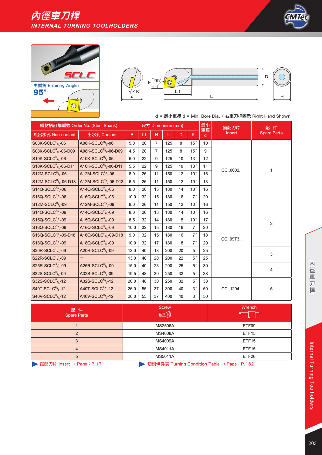## 內徑車刀桿 **INTERNAL TURNING TOOLHOLDERS**







### d = 最小車徑 d = Min. Bore Dia. / 右車刀桿圖示 Right-Hand Shown

|                                               | 鋼材柄訂購編號 Order No. (Steel Shank)               |      |    |                | 尺寸 Dimension (mm) |    |                 | 最小      | 搭配刀片          | 件<br>配             |
|-----------------------------------------------|-----------------------------------------------|------|----|----------------|-------------------|----|-----------------|---------|---------------|--------------------|
| 無出水孔 Non-coolant                              | 出水孔 Coolant                                   | F    | L1 | н              | L                 | D  | K               | 車徑<br>d | <b>Insert</b> | <b>Spare Parts</b> |
| $S08K-SCLCR/L-06$                             | A08K-SCLC $R/L$ -06                           | 5.0  | 20 | $\overline{7}$ | 125               | 8  | 15°             | 10      |               |                    |
| S08K-SCLC <sup>R</sup> / <sub>1</sub> -06-D09 | A08K-SCLC <sup>R</sup> / <sub>1</sub> -06-D09 | 4.5  | 20 | $\overline{7}$ | 125               | 8  | 15 <sup>°</sup> | 9       |               |                    |
| $S10K-SCLCR/L-06$                             | A10K-SCLC <sup>R</sup> / <sub>1</sub> -06     | 6.0  | 22 | 9              | 125               | 10 | 13°             | 12      |               |                    |
| $S10K-SCLCR/L-06-D11$                         | A10K-SCLC <sup>R</sup> / <sub>L</sub> -06-D11 | 5.5  | 22 | 9              | 125               | 10 | 13 <sup>°</sup> | 11      |               | 1                  |
| $S12M-SCLCR/1-06$                             | A12M-SCLC $R_1$ -06                           | 8.0  | 26 | 11             | 150               | 12 | 10 <sup>°</sup> | 16      | CC0602        |                    |
| S12M-SCLC <sup>R</sup> / <sub>L</sub> -06-D13 | A12M-SCLC $R_{L}$ -06-D13                     | 6.5  | 26 | 11             | 150               | 12 | 10 <sup>°</sup> | 13      |               |                    |
| $S14Q-SCLCR/L-06$                             | A14Q-SCLC $R_{L}$ -06                         | 8.0  | 26 | 13             | 180               | 14 | 10 <sup>°</sup> | 16      |               |                    |
| $S16Q-SCLCR/L-06$                             | A16Q-SCLC $R_{L}$ -06                         | 10.0 | 32 | 15             | 180               | 16 | $7^{\circ}$     | 20      |               |                    |
| $S12M-SCLCR/L-09$                             | $A12M-SCLCR/L-09$                             | 8.0  | 26 | 11             | 150               | 12 | 10 <sup>°</sup> | 16      |               |                    |
| $S14Q-SCLCR/L-09$                             | A14Q-SCLC $R_{L}$ -09                         | 8.0  | 26 | 13             | 180               | 14 | 10 <sup>°</sup> | 16      |               | 2                  |
| $S15Q-SCLCR/L-09$                             | A15Q-SCLC $R/L$ -09                           | 8.5  | 32 | 14             | 180               | 15 | 10 <sup>°</sup> | 17      |               |                    |
| $S16Q-SCLCR/L-09$                             | A16Q-SCLC $R_{L}$ -09                         | 10.0 | 32 | 15             | 180               | 16 | $7^{\circ}$     | 20      |               |                    |
| S16Q-SCLC <sup>R</sup> / <sub>L</sub> -09-D18 | A16Q-SCLC <sup>R</sup> / <sub>L</sub> -09-D18 | 9.0  | 32 | 15             | 180               | 16 | $7^{\circ}$     | 18      | CC09T3        |                    |
| S18Q-SCLC <sup>R</sup> / <sub>1</sub> -09     | A18Q-SCLC <sup>R</sup> / <sub>1</sub> -09     | 10.0 | 32 | 17             | 180               | 18 | $7^{\circ}$     | 20      |               |                    |
| $S20R-SCLCR/L-09$                             | A20R-SCLC $R_{L}$ -09                         | 13.0 | 40 | 18             | 200               | 20 | $5^{\circ}$     | 25      |               | 3                  |
| $S22R-SCLCR/L-09$                             |                                               | 13.0 | 40 | 20             | 200               | 22 | $5°$            | 25      |               |                    |
| $S25R-SCLCR/1-09$                             | A25R-SCLC $R_1$ -09                           | 15.0 | 40 | 23             | 200               | 25 | $5\,^{\circ}$   | 30      |               | 4                  |
| S32S-SCLC <sup>R</sup> / <sub>L</sub> -09     | A32S-SCLC <sup>R</sup> / <sub>L</sub> -09     | 19.5 | 48 | 30             | 250               | 32 | $5^{\circ}$     | 38      |               |                    |
| S32S-SCLC $^R$ / <sub>1</sub> -12             | A32S-SCLC $R_{L}$ -12                         | 20.0 | 48 | 30             | 250               | 32 | $5°$            | 38      |               |                    |
| $S40T-SCLCR/1 - 12$                           | A40T-SCLC <sup>R</sup> / <sub>1</sub> -12     | 26.0 | 55 | 37             | 300               | 40 | $3^{\circ}$     | 50      | CC1204        | 5                  |
| $S40V-SCLCR/1-12$                             | A40V-SCLC <sup>R</sup> / <sub>1</sub> -12     | 26.0 | 55 | 37             | 400               | 40 | $3\degree$      | 50      |               |                    |

| 配件<br><b>Spare Parts</b> | <b>Screw</b><br><b>MMIT</b>                                                                                     | Wrench<br><b>Example</b><br>lo. |
|--------------------------|-----------------------------------------------------------------------------------------------------------------|---------------------------------|
|                          | <b>MS2506A</b>                                                                                                  | ETF09                           |
|                          | <b>MS4008A</b>                                                                                                  | ETF <sub>15</sub>               |
|                          | <b>MS4009A</b>                                                                                                  | ETF <sub>15</sub>               |
| Δ                        | <b>MS4011A</b>                                                                                                  | ETF <sub>15</sub>               |
| 5                        | <b>MS5011A</b>                                                                                                  | ETF20                           |
|                          | the contract of the contract of the contract of the contract of the contract of the contract of the contract of |                                 |

▶ 搭配刀片 Insert → Page: P.171 <br>
→ 切削條件表 Turning Condition Table → Page: P.182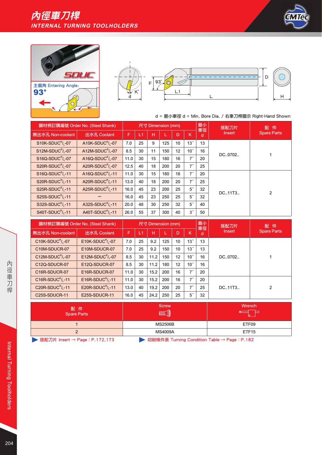





|                                           | 鋼材柄訂購編號 Order No. (Steel Shank)           |      | 最小<br>尺寸 Dimension (mm) |    |     |    |                 |         | 搭配刀片      | 配<br>件             |  |
|-------------------------------------------|-------------------------------------------|------|-------------------------|----|-----|----|-----------------|---------|-----------|--------------------|--|
| 無出水孔 Non-coolant                          | 出水孔 Coolant                               | F    | L1                      | н  |     | D  | K.              | 車徑<br>d | Insert    | <b>Spare Parts</b> |  |
| $S10K-SDUCR/I - 07$                       | A10K-SDUC $R_1$ -07                       | 7.0  | 25                      | 9  | 125 | 10 | 13 <sup>°</sup> | 13      | DC.,0702  |                    |  |
| $S12M-SDUCR/I -07$                        | A12M-SDUC $R_1$ -07                       | 8.5  | 30                      | 11 | 150 | 12 | 10 <sup>°</sup> | 16      |           |                    |  |
| S16Q-SDUC <sup>R</sup> /, -07             | A16Q-SDUC <sup>R</sup> / <sub>1</sub> -07 | 11.0 | 30                      | 15 | 180 | 16 | $7^{\circ}$     | 20      |           |                    |  |
| S20R-SDUC <sup>R</sup> / <sub>1</sub> -07 | A20R-SDUC <sup>R</sup> / <sub>1</sub> -07 | 12.5 | 40                      | 18 | 200 | 20 | $7^{\circ}$     | 25      |           |                    |  |
| S16Q-SDUC <sup>R</sup> / <sub>1</sub> -11 | A16Q-SDUC $\frac{R}{1}$ -11               | 11.0 | 30                      | 15 | 180 | 16 | $7^{\circ}$     | 20      |           |                    |  |
| $S20R-SDUCR/1 - 11$                       | A20R-SDUC <sup>R</sup> / <sub>1</sub> -11 | 13.0 | 40                      | 18 | 200 | 20 | $7^{\circ}$     | 25      |           |                    |  |
| S25R-SDUC <sup>R</sup> / <sub>1</sub> -11 | A25R-SDUC $^R$ / <sub>1</sub> -11         | 16.0 | 45                      | 23 | 200 | 25 | $5^{\circ}$     | 32      | DC., 11T3 | $\overline{2}$     |  |
| $S25S-SDUCR/1-11$                         |                                           | 16.0 | 45                      | 23 | 250 | 25 | $5^{\circ}$     | 32      |           |                    |  |
| S32S-SDUC <sup>R</sup> /.-11              | A32S-SDUC <sup>R</sup> / <sub>1</sub> -11 | 20.0 | 48                      | 30 | 250 | 32 | $5^{\circ}$     | 40      |           |                    |  |
| $S40T-SDUCR/1-11$                         | A40T-SDUC $^R$ / <sub>1</sub> -11         | 26.0 | 55                      | 37 | 300 | 40 | $3^{\circ}$     | 50      |           |                    |  |

|                                             | 鋼材柄訂購編號 Order No. (Steel Shank) |      |    | 尺寸 Dimension (mm) |     |    |                       | 最小<br>車徑 | 搭配刀片          | 配件<br><b>Spare Parts</b> |
|---------------------------------------------|---------------------------------|------|----|-------------------|-----|----|-----------------------|----------|---------------|--------------------------|
| 無出水孔 Non-coolant                            | 出水孔 Coolant                     | F.   | L1 | н                 |     | D  | κ                     | d        | <b>Insert</b> |                          |
| $C10K-SDUCR/I - 07$                         | $E10K-SDUCR/1-07$               | 7.0  | 25 | 9.2               | 125 | 10 | 13 <sup>°</sup>       | 13       |               |                          |
| C <sub>10</sub> M-SDUCR-07                  | E10M-SDUCR-07                   | 7.0  | 25 | 9.2               | 150 | 10 | 13 <sup>°</sup>       | 13       |               |                          |
| C12M-SDUC $^R$ / <sub>1</sub> -07           | E12M-SDUC $\frac{R}{I}$ -07     | 8.5  | 30 | 11.2              | 150 | 12 | 10 <sup>°</sup>       | 16       | DC.,0702      |                          |
| C12Q-SDUCR-07                               | E12Q-SDUCR-07                   | 8.5  | 30 | 11.2              | 180 | 12 | 10 <sup>°</sup>       | 16       |               |                          |
| C <sub>16R</sub> -SDUCR-07                  | E16R-SDUCR-07                   | 11.0 | 30 | 15.2              | 200 | 16 | $\rightarrow$ $\circ$ | 20       |               |                          |
| $C16R-SDUCR/1-11$                           | E16R-SDUC $\frac{R}{1}$ -11     | 11.0 | 30 | 15.2              | 200 | 16 | $7^{\circ}$           | 20       |               | 2                        |
| C <sub>20R</sub> -SDUC <sup>R</sup> $/$ -11 | E20R-SDUC $\frac{R}{1}$ -11     | 13.0 | 40 | 19.2              | 200 | 20 | $7^{\circ}$           | 25       | DC11T3        |                          |
| C <sub>25</sub> S-SDUCR-11                  | E25S-SDUCR-11                   | 16.0 | 45 | 24.2              | 250 | 25 | $5^{\circ}$           | 32       |               |                          |

| 配 件<br>Spare Parts | <b>Screw</b><br><b>MINT</b> | Wrench            |
|--------------------|-----------------------------|-------------------|
|                    | <b>MS2506B</b>              | ETF09             |
|                    | <b>MS4009A</b>              | ETF <sub>15</sub> |
|                    | .                           |                   |

▶ 搭配刀片 Insert → Page: P.172,173 <br>
→ 切削條件表 Turning Condition Table → Page: P.182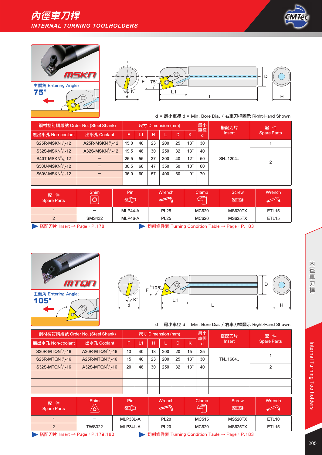





|                                           | 鋼材柄訂購編號 Order No. (Steel Shank) |      |    |    | 尺寸 Dimension (mm) |    |                 | 最小<br>車徑 | 搭配刀片<br>Insert | 配件<br><b>Spare Parts</b> |
|-------------------------------------------|---------------------------------|------|----|----|-------------------|----|-----------------|----------|----------------|--------------------------|
| 無出水孔 Non-coolant                          | 出水孔 Coolant                     | F    | L1 | н  |                   | D  | K               | d        |                |                          |
| $S25R\text{-}MSKN^R$ <sub>1</sub> -12     | A25R-MSK $N^R$ <sub>1</sub> -12 | 15.0 | 40 | 23 | 200               | 25 | 13 <sup>°</sup> | 30       |                |                          |
| $S32S\text{-MSKN}^R$ <sup>12</sup>        | A32S-MSKN $R_1$ -12             | 19.5 | 48 | 30 | 250               | 32 | 13 <sup>°</sup> | 40       |                |                          |
| S40T-MSKN <sup>R</sup> / <sub>1</sub> -12 |                                 | 25.5 | 55 | 37 | 300               | 40 | 12 <sup>°</sup> | 50       | SN1204         |                          |
| S50U-MSKN <sup>R</sup> / <sub>1</sub> -12 |                                 | 30.5 | 60 | 47 | 350               | 50 | 10 <sup>°</sup> | 60       |                |                          |
| S60V-MSKN <sup>R</sup> / <sub>1</sub> -12 |                                 | 36.0 | 60 | 57 | 400               | 60 | $9^{\circ}$     | 70       |                |                          |
|                                           |                                 |      |    |    |                   |    |                 |          |                |                          |

| 配件<br>Spare Parts                                                        | <b>Shim</b><br>$ \overline{\mathbb{O}} $ | Pin<br><b>ANGO</b> | Wrench      | Clamp<br>$\mathbb{Z}$ | <b>Screw</b><br><b>CHANGE THE ORIGINAL</b> | <b>Wrench</b>     |  |  |  |
|--------------------------------------------------------------------------|------------------------------------------|--------------------|-------------|-----------------------|--------------------------------------------|-------------------|--|--|--|
|                                                                          | -                                        | MLP44-A            | <b>PL25</b> | MC620                 | <b>MS620TX</b>                             | ETL <sub>15</sub> |  |  |  |
|                                                                          | <b>SMS432</b>                            | MLP46-A            | <b>PL25</b> | MC620                 | <b>MS625TX</b>                             | ETL <sub>15</sub> |  |  |  |
| 搭配刀片 Insert → Page: P.178<br>切削條件表 Turning Condition Table → Page: P.183 |                                          |                    |             |                       |                                            |                   |  |  |  |





## d = 最小車徑 d = Min. Bore Dia. / 右車刀桿圖示 Right-Hand Shown

|                                           | 鋼材柄訂購編號 Order No. (Steel Shank)           |    |    |    | 尺寸 Dimension (mm) |    |                 | 最小<br>車徑 | 搭配刀片<br>Insert | 配件:<br><b>Spare Parts</b> |
|-------------------------------------------|-------------------------------------------|----|----|----|-------------------|----|-----------------|----------|----------------|---------------------------|
| 無出水孔 Non-coolant                          | 出水孔 Coolant                               | F  |    | H  |                   | D  | ΙK.             | d        |                |                           |
| S20R-MTQN <sup>R</sup> / <sub>1</sub> -16 | A20R-MTQN <sup>R</sup> / <sub>1</sub> -16 | 13 | 40 | 18 | 200               | 20 | 15 <sup>°</sup> | 25       |                |                           |
| S25R-MTQN $^R$ / <sub>1</sub> -16         | A25R-MTQN $^R$ / <sub>1</sub> -16         | 15 | 40 | 23 | 200               | 25 | 13°             | 30       | TN1604         |                           |
| S32S-MTQN $^R$ / <sub>1</sub> -16         | A32S-MTQN <sup>R</sup> / <sub>1</sub> -16 | 20 | 48 | 30 | 250               | 32 | 13°             | 40       |                |                           |
|                                           |                                           |    |    |    |                   |    |                 |          |                |                           |
|                                           |                                           |    |    |    |                   |    |                 |          |                |                           |
|                                           |                                           |    |    |    |                   |    |                 |          |                |                           |

| 配件<br><b>Spare Parts</b>                                                     | <b>Shim</b><br>$\circ$ | Pin<br><b>INTER</b> | Wrench      | Clamp<br>$\mathbb{A}$ | <b>Screw</b><br><b>ANNELLINO</b> | Wrench            |  |  |  |  |
|------------------------------------------------------------------------------|------------------------|---------------------|-------------|-----------------------|----------------------------------|-------------------|--|--|--|--|
|                                                                              | -                      | MLP33L-A            | <b>PL20</b> | MC515                 | <b>MS520TX</b>                   | ETL <sub>10</sub> |  |  |  |  |
| $\overline{2}$                                                               | <b>TWS322</b>          | MLP34L-A            | <b>PL20</b> | MC620                 | <b>MS625TX</b>                   | ETL <sub>15</sub> |  |  |  |  |
| 搭配刀片 Insert → Page:P.179,180<br>切削條件表 Turning Condition Table → Page : P.183 |                        |                     |             |                       |                                  |                   |  |  |  |  |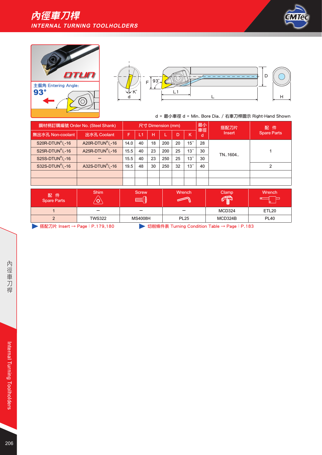





|                                   | 鋼材柄訂購編號 Order No. (Steel Shank)   |      |    |    | 尺寸 Dimension (mm) |    |                 | 最小      | 搭配刀片          | 配件<br><b>Spare Parts</b> |
|-----------------------------------|-----------------------------------|------|----|----|-------------------|----|-----------------|---------|---------------|--------------------------|
| 無出水孔 Non-coolant                  | 出水孔 Coolant                       | F    | L1 | н  |                   | D  | K               | 車徑<br>d | <b>Insert</b> |                          |
| $S20R-DTUNR/1 - 16$               | A20R-DTUN $^R$ / <sub>1</sub> -16 | 14.0 | 40 | 18 | 200               | 20 | 15°             | 28      |               |                          |
| $S25R-DTUNR/I - 16$               | A25R-DTUN $^R$ / <sub>1</sub> -16 | 15.5 | 40 | 23 | 200               | 25 | 13 <sup>°</sup> | 30      |               |                          |
| S25S-DTUN $^R$ / <sub>1</sub> -16 |                                   | 15.5 | 40 | 23 | 250               | 25 | 13 <sup>°</sup> | 30      | TN1604        |                          |
| S32S-DTUN $^R$ / <sub>1</sub> -16 | A32S-DTUN $^R$ / <sub>1</sub> -16 | 19.5 | 48 | 30 | 250               | 32 | 13 <sup>°</sup> | 40      |               | ົ                        |
|                                   |                                   |      |    |    |                   |    |                 |         |               |                          |
|                                   |                                   |      |    |    |                   |    |                 |         |               |                          |

| 配件<br><b>Spare Parts</b>                                                    | <b>Shim</b>   | <b>Screw</b><br>$M$ $M$ $M$ $M$ $\left( \begin{array}{c} 0 \\ 0 \end{array} \right)$ | Wrench      | Clamp<br>CR | Wrench      |  |  |  |
|-----------------------------------------------------------------------------|---------------|--------------------------------------------------------------------------------------|-------------|-------------|-------------|--|--|--|
|                                                                             |               |                                                                                      |             | MCD324      | ETL20       |  |  |  |
|                                                                             | <b>TWS322</b> | MS4008H                                                                              | <b>PL25</b> | MCD324B     | <b>PL40</b> |  |  |  |
| 搭配刀片 Insert → Page:P.179,180<br>切削條件表 Turning Condition Table → Page: P.183 |               |                                                                                      |             |             |             |  |  |  |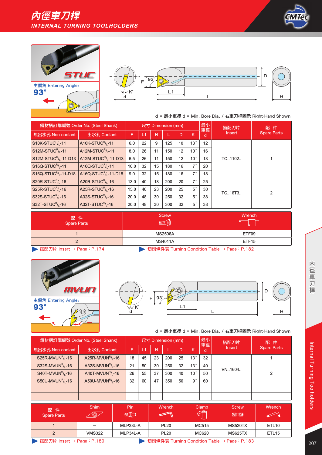





|                                               | 鋼材柄訂購編號 Order No. (Steel Shank)               | 尺寸 Dimension (mm) |      |    |     |    |                 | 最小      | 搭配刀片          | 配<br>件             |
|-----------------------------------------------|-----------------------------------------------|-------------------|------|----|-----|----|-----------------|---------|---------------|--------------------|
| 無出水孔 Non-coolant                              | 出水孔 Coolant                                   | F                 | IL 1 | н  |     | D  | K               | 車徑<br>d | <b>Insert</b> | <b>Spare Parts</b> |
| $S10K-STUCR/L-11$                             | $A10K-STUCR/1 - 11$                           | 6.0               | 22   | 9  | 125 | 10 | 13 <sup>°</sup> | 12      |               |                    |
| S12M-STUC <sup>R</sup> / <sub>1</sub> -11     | A12M-STUC $R_{L}$ -11                         | 8.0               | 26   | 11 | 150 | 12 | 10 <sup>°</sup> | 16      | TC1102        |                    |
| S12M-STUC <sup>R</sup> / <sub>1</sub> -11-D13 | A12M-STUC <sup>R</sup> / <sub>1</sub> -11-D13 | 6.5               | 26   | 11 | 150 | 12 | 10 <sup>°</sup> | 13      |               |                    |
| S16Q-STUC <sup>R</sup> / <sub>1</sub> -11     | A16Q-STUC <sup>R</sup> / <sub>1</sub> -11     | 10.0              | 32   | 15 | 180 | 16 | $7^{\circ}$     | 20      |               |                    |
| S16Q-STUC <sup>R</sup> / <sub>L</sub> -11-D18 | A16Q-STUC <sup>R</sup> / <sub>1</sub> -11-D18 | 9.0               | 32   | 15 | 180 | 16 | $\mathbf{z}$    | 18      |               |                    |
| $S20R-STUCR/1-16$                             | A20R-STUC $R_{L}$ -16                         | 13.0              | 40   | 18 | 200 | 20 | $\mathbf{z}$    | 25      |               |                    |
| $S25R-STUCR/1-16$                             | A25R-STUC $\frac{R}{1}$ -16                   | 15.0              | 40   | 23 | 200 | 25 | $5^{\circ}$     | 30      | TC16T3        |                    |
| $S32S-STUCR/1-16$                             | A32S-STUC $R_1$ -16                           | 20.0              | 48   | 30 | 250 | 32 | $5^{\circ}$     | 38      |               | $\overline{2}$     |
| S32T-STUC <sup>R</sup> / -16                  | A32T-STUC <sup>R</sup> / $-16$                | 20.0              | 48   | 30 | 300 | 32 | $5^{\circ}$     | 38      |               |                    |

| 配 件<br>Spare Parts | <b>Screw</b><br><b>MINT</b> | Wrench            |
|--------------------|-----------------------------|-------------------|
|                    | <b>MS2506A</b>              | ETF09             |
|                    | <b>MS4011A</b>              | ETF <sub>15</sub> |
|                    |                             |                   |



▶ 搭配刀片 Insert → Page: P.174 7 Digital Australian Table → Page: P.182



d = 最小車徑 d = Min. Bore Dia. / 右車刀桿圖示 Right-Hand Shown

|                                           | 鋼材柄訂購編號 Order No. (Steel Shank)           | 尺寸 Dimension (mm) |    |    |     |    |                 | 最小<br>車徑 | 搭配刀片   | 配件                 |
|-------------------------------------------|-------------------------------------------|-------------------|----|----|-----|----|-----------------|----------|--------|--------------------|
| 無出水孔 Non-coolant                          | 出水孔 Coolant                               | F                 | L1 | н  |     | D. | ΙK              | d        | Insert | <b>Spare Parts</b> |
| S25R-MVUN $^R$ / <sub>1</sub> -16         | A25R-MVUN <sup>R</sup> / <sub>1</sub> -16 | 18                | 45 | 23 | 200 | 25 | 13°             | 32       |        |                    |
| S32S-MVUN $^R$ / <sub>1</sub> -16         | A32S-MVUN $^R$ / <sub>1</sub> -16         | 21                | 50 | 30 | 250 | 32 | 13°             | 40       |        | າ                  |
| S40T-MVUN $^R$ / <sub>1</sub> -16         | A40T-MVUN $^R$ / <sub>1</sub> -16         | 26                | 55 | 37 | 300 | 40 | 10 <sup>°</sup> | 50       | VN1604 |                    |
| S50U-MVUN <sup>R</sup> / <sub>1</sub> -16 | A50U-MVUN <sup>R</sup> / <sub>1</sub> -16 | 32                | 60 | 47 | 350 | 50 | $9^{\circ}$     | 60       |        |                    |
|                                           |                                           |                   |    |    |     |    |                 |          |        |                    |
|                                           |                                           |                   |    |    |     |    |                 |          |        |                    |

| 配件<br><b>Spare Parts</b> | <b>Shim</b><br>$\circledcirc$                                           | Pin<br><b>ILL CO</b> | Wrench      | Clamp<br>$\mathbb{Z}$ | <b>Screw</b><br><b>CONTROLLER</b> | Wrench            |  |  |  |
|--------------------------|-------------------------------------------------------------------------|----------------------|-------------|-----------------------|-----------------------------------|-------------------|--|--|--|
|                          | -                                                                       | MLP33L-A             | <b>PL20</b> | MC515                 | <b>MS520TX</b>                    | ETL <sub>10</sub> |  |  |  |
| 2                        | <b>VMS322</b>                                                           | MLP34L-A             | <b>PL20</b> | MC620                 | <b>MS625TX</b>                    | ETL <sub>15</sub> |  |  |  |
|                          | 搭配刀片 Insert → Page:P.180<br>切削條件表 Turning Condition Table → Page: P.183 |                      |             |                       |                                   |                   |  |  |  |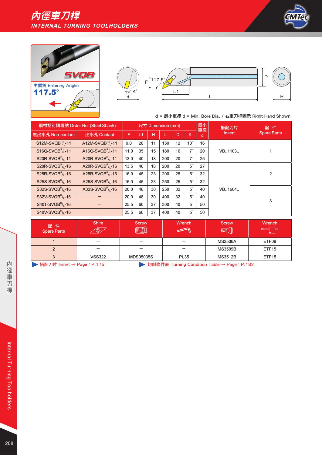





|                                           | 鋼材柄訂購編號 Order No. (Steel Shank)           | 尺寸 Dimension (mm) |    |    |     |    |                 | 最小<br>車徑 | 搭配刀片          | 配件                 |
|-------------------------------------------|-------------------------------------------|-------------------|----|----|-----|----|-----------------|----------|---------------|--------------------|
| 無出水孔 Non-coolant                          | 出水孔 Coolant                               | F                 | L1 | H  |     | D  | K               | d        | <b>Insert</b> | <b>Spare Parts</b> |
| $S12M-SVQBR/1 - 11$                       | A12M-SVQB $R/1$ -11                       | 9.0               | 28 | 11 | 150 | 12 | 10 <sup>°</sup> | 16       |               |                    |
| $S16Q-SVQBR/1 - 11$                       | A16Q-SVQB $^R$ / <sub>1</sub> -11         | 11.0              | 35 | 15 | 180 | 16 | $7^{\circ}$     | 20       | VB1103        |                    |
| S20R-SVQB <sup>R</sup> / <sub>1</sub> -11 | A20R-SVQB <sup>R</sup> / <sub>1</sub> -11 | 13.0              | 40 | 18 | 200 | 20 | $7^{\circ}$     | 25       |               |                    |
| S20R-SVQB <sup>R</sup> / <sub>1</sub> -16 | A20R-SVQB <sup>R</sup> / <sub>1</sub> -16 | 13.5              | 40 | 18 | 200 | 20 | $5^{\circ}$     | 27       |               | $\overline{2}$     |
| $S25R-SVQBR/1 - 16$                       | A25R-SVQB $^R$ / <sub>1</sub> -16         | 16.0              | 45 | 23 | 200 | 25 | $5^{\circ}$     | 32       |               |                    |
| $S25S-SVQBR/1 - 16$                       | A25S-SVQB $R_1$ -16                       | 16.0              | 45 | 23 | 250 | 25 | $5^{\circ}$     | 32       |               |                    |
| S32S-SVQB <sup>R</sup> / <sub>1</sub> -16 | A32S-SVQB $R_1$ -16                       | 20.0              | 48 | 30 | 250 | 32 | $5^{\circ}$     | 40       | VB1604        |                    |
| $S32V-SVQBR/1 - 16$                       |                                           | 20.0              | 48 | 30 | 400 | 32 | $5^{\circ}$     | 40       |               | 3                  |
| S40T-SVQB <sup>R</sup> / <sub>1</sub> -16 |                                           | 25.5              | 60 | 37 | 300 | 40 | $5^{\circ}$     | 50       |               |                    |
| $S40V-SVQBR/1 - 16$                       |                                           | 25.5              | 60 | 37 | 400 | 40 | $5^{\circ}$     | 50       |               |                    |

| 配件<br>Spare Parts | <b>Shim</b><br>v         | Screw<br><i>ULLLUL M</i> | Wrench      | <b>Screw</b><br><b>WITH (0)</b> | Wrench            |
|-------------------|--------------------------|--------------------------|-------------|---------------------------------|-------------------|
|                   | $\overline{\phantom{a}}$ | -                        | -           | <b>MS2506A</b>                  | ETF09             |
|                   | -                        |                          | -           | <b>MS3509B</b>                  | ETF <sub>15</sub> |
| 3                 | <b>VSS322</b>            | <b>MDS05035S</b>         | <b>PL35</b> | <b>MS3512B</b>                  | ETF15             |

▶ 搭配刀片 Insert → Page: P.175 <br>
→ 切削條件表 Turning Condition Table → Page: P.182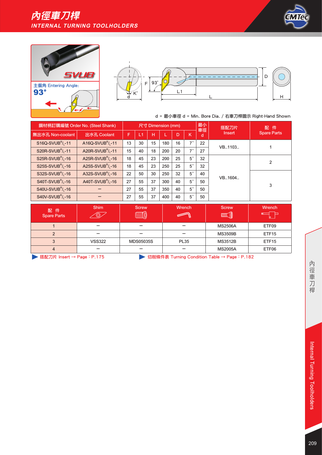





|                                           | 鋼材柄訂購編號 Order No. (Steel Shank)           |    | 最小<br>尺寸 Dimension (mm) |    |     |    |             |         | 搭配刀片      | 配件                 |
|-------------------------------------------|-------------------------------------------|----|-------------------------|----|-----|----|-------------|---------|-----------|--------------------|
| 無出水孔 Non-coolant                          | 出水孔 Coolant                               | F  | L1                      | н  |     | D  | K           | 車徑<br>d | Insert    | <b>Spare Parts</b> |
| $S16Q-SVUBR/L-11$                         | A16Q-SVUB <sup>R</sup> / <sub>L</sub> -11 | 13 | 30                      | 15 | 180 | 16 | $7^{\circ}$ | 22      |           |                    |
| S20R-SVUB <sup>R</sup> / <sub>L</sub> -11 | A20R-SVUB <sup>R</sup> / <sub>1</sub> -11 | 15 | 40                      | 18 | 200 | 20 | $7^{\circ}$ | 27      | VB., 1103 |                    |
| S25R-SVUB <sup>R</sup> / <sub>1</sub> -16 | A25R-SVUB $\frac{R}{1}$ -16               | 18 | 45                      | 23 | 200 | 25 | $5^{\circ}$ | 32      |           | 2<br>3             |
| S25S-SVUB <sup>R</sup> / <sub>1</sub> -16 | A25S-SVUB <sup>R</sup> / <sub>1</sub> -16 | 18 | 45                      | 23 | 250 | 25 | $5^{\circ}$ | 32      |           |                    |
| S32S-SVUB <sup>R</sup> / <sub>1</sub> -16 | A32S-SVUB <sup>R</sup> / <sub>1</sub> -16 | 22 | 50                      | 30 | 250 | 32 | $5^{\circ}$ | 40      |           |                    |
| $S40T-SVUBR/1 - 16$                       | A40T-SVUB $^R$ / <sub>1</sub> -16         | 27 | 55                      | 37 | 300 | 40 | $5^{\circ}$ | 50      | VB., 1604 |                    |
| S40U-SVUB <sup>R</sup> / <sub>1</sub> -16 |                                           | 27 | 55                      | 37 | 350 | 40 | $5^{\circ}$ | 50      |           |                    |
| $S40V-SVUBR/1 - 16$                       |                                           | 27 | 55                      | 37 | 400 | 40 | $5^{\circ}$ | 50      |           |                    |

| 配件<br><b>Spare Parts</b> | <b>Shim</b>   | <b>Screw</b><br><b>TITTING</b> | Wrench      | <b>Screw</b><br><b>MINT</b> | Wrench            |
|--------------------------|---------------|--------------------------------|-------------|-----------------------------|-------------------|
|                          | _             |                                |             | <b>MS2506A</b>              | ETF09             |
| C                        | _             |                                | -           | <b>MS3509B</b>              | ETF <sub>15</sub> |
| 3                        | <b>VSS322</b> | <b>MDS05035S</b>               | <b>PL35</b> | <b>MS3512B</b>              | ETF <sub>15</sub> |
| 4                        | _             |                                |             | <b>MS2005A</b>              | ETF06             |

▶ 搭配刀片 Insert → Page: P.175 <br>
→ 切削條件表 Turning Condition Table → Page: P.182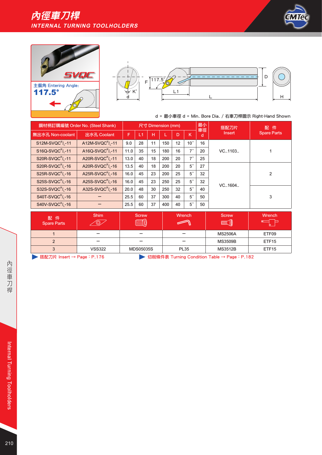





|                                           | 鋼材柄訂購編號 Order No. (Steel Shank)           | 尺寸 Dimension (mm) |    |    |     |    |                 | 最小      | 搭配刀片          | 配件                 |
|-------------------------------------------|-------------------------------------------|-------------------|----|----|-----|----|-----------------|---------|---------------|--------------------|
| 無出水孔 Non-coolant                          | 出水孔 Coolant                               | F                 | L1 | н  | L   | D  | K               | 車徑<br>d | <b>Insert</b> | <b>Spare Parts</b> |
| $S12M-SVQCR/L-11$                         | A12M-SVQC $R_1$ -11                       | 9.0               | 28 | 11 | 150 | 12 | 10 <sup>°</sup> | 16      |               |                    |
| $S16Q-SVQCR/1-11$                         | A16Q-SVQC <sup>R</sup> / <sub>1</sub> -11 | 11.0              | 35 | 15 | 180 | 16 | $7^{\circ}$     | 20      | VC1103        |                    |
| S20R-SVQC <sup>R</sup> / <sub>1</sub> -11 | A20R-SVQC <sup>R</sup> / <sub>1</sub> -11 | 13.0              | 40 | 18 | 200 | 20 | $7^{\circ}$     | 25      |               |                    |
| S20R-SVQC <sup>R</sup> / <sub>1</sub> -16 | A20R-SVQC <sup>R</sup> / <sub>1</sub> -16 | 13.5              | 40 | 18 | 200 | 20 | $5^{\circ}$     | 27      |               | $\overline{2}$     |
| S25R-SVQC <sup>R</sup> / <sub>1</sub> -16 | A25R-SVQC $\frac{R}{1}$ -16               | 16.0              | 45 | 23 | 200 | 25 | $5^{\circ}$     | 32      |               |                    |
| S25S-SVQC $R_{L}$ -16                     | A25S-SVQC $R_{L}$ -16                     | 16.0              | 45 | 23 | 250 | 25 | $5^{\circ}$     | 32      |               |                    |
| $S32S-SVQCR/1 - 16$                       | A32S-SVQC $R_{L}$ -16                     | 20.0              | 48 | 30 | 250 | 32 | $5^{\circ}$     | 40      | VC1604        |                    |
| $S40T-SVQCR/1 - 16$                       |                                           | 25.5              | 60 | 37 | 300 | 40 | $5^{\circ}$     | 50      |               | 3                  |
| S40V-SVQC <sup>R</sup> /,-16              |                                           | 25.5              | 60 | 37 | 400 | 40 | $5^{\circ}$     | 50      |               |                    |

| 配件<br><b>Spare Parts</b> | <b>Shim</b><br>v, | <b>Screw</b><br>ாாாீ<br><b>ANNING</b> | Wrench      | <b>Screw</b><br><b>MMIL</b> | Wrench            |
|--------------------------|-------------------|---------------------------------------|-------------|-----------------------------|-------------------|
|                          |                   |                                       |             | <b>MS2506A</b>              | ETF09             |
|                          |                   |                                       |             | <b>MS3509B</b>              | ETF15             |
|                          | <b>VSS322</b>     | <b>MDS05035S</b>                      | <b>PL35</b> | <b>MS3512B</b>              | ETF <sub>15</sub> |
|                          |                   |                                       |             |                             |                   |

▶ 搭配刀片 Insert → Page: P.176 <br>
→ 切削條件表 Turning Condition Table → Page: P.182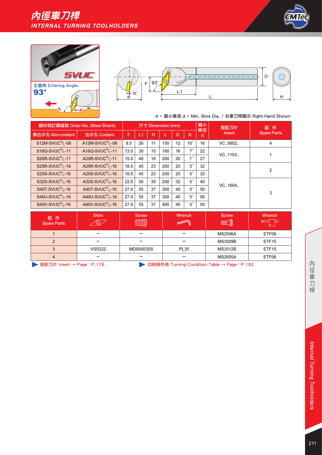





| 鋼材柄訂購編號 Order No. (Steel Shank)           |                                           |      | 尺寸 Dimension (mm) |    |     |    |                 |         | 搭配刀片   | 配件                 |
|-------------------------------------------|-------------------------------------------|------|-------------------|----|-----|----|-----------------|---------|--------|--------------------|
| 無出水孔 Non-coolant                          | 出水孔 Coolant                               | F    | L1                | н  |     | D  | K               | 車徑<br>d | Insert | <b>Spare Parts</b> |
| $S12M-SVUCR/I -08$                        | A12M-SVUC <sup>R</sup> / <sub>1</sub> -08 | 9.5  | 26                | 11 | 150 | 12 | 10 <sup>°</sup> | 16      | VC0802 | 4                  |
| $S16Q-SVUCR/I -11$                        | A16Q-SVUC <sup>R</sup> / <sub>1</sub> -11 | 13.0 | 30                | 15 | 180 | 16 | $7^{\circ}$     | 22      | VC1103 |                    |
| S20R-SVUC <sup>R</sup> / <sub>1</sub> -11 | A20R-SVUC <sup>R</sup> / <sub>1</sub> -11 | 15.0 | 40                | 18 | 200 | 20 | $7^{\circ}$     | 27      |        |                    |
| S25R-SVUC <sup>R</sup> / <sub>1</sub> -16 | A25R-SVUC <sup>R</sup> / <sub>1</sub> -16 | 18.0 | 45                | 23 | 200 | 25 | $5^{\circ}$     | 32      | VC1604 | $\overline{2}$     |
| S25S-SVUC <sup>R</sup> / <sub>1</sub> -16 | A25S-SVUC $\frac{R}{1}$ -16               | 18.0 | 45                | 23 | 250 | 25 | $5^{\circ}$     | 32      |        |                    |
| S32S-SVUC <sup>R</sup> / <sub>1</sub> -16 | A32S-SVUC <sup>R</sup> / <sub>1</sub> -16 | 22.0 | 50                | 30 | 250 | 32 | $5^{\circ}$     | 40      |        |                    |
| $S40T-SVUCR/I - 16$                       | A40T-SVUC $R_1$ -16                       | 27.0 | 55                | 37 | 300 | 40 | $5^{\circ}$     | 50      |        |                    |
| S40U-SVUC <sup>R</sup> / <sub>L</sub> -16 | A40U-SVUC $\frac{R}{1}$ -16               | 27.0 | 55                | 37 | 350 | 40 | $5^{\circ}$     | 50      |        | 3                  |
| S40V-SVUC <sup>R</sup> / <sub>1</sub> -16 | A40V-SVUC <sup>R</sup> / <sub>1</sub> -16 | 27.0 | 55                | 37 | 400 | 40 | $5^{\circ}$     | 50      |        |                    |

| 配件<br><b>Spare Parts</b> | <b>Shim</b>   | <b>Screw</b>     | Wrench      | <b>Screw</b><br><b>MINT</b> | Wrench            |
|--------------------------|---------------|------------------|-------------|-----------------------------|-------------------|
|                          | -             |                  |             | <b>MS2506A</b>              | ETF09             |
| $\overline{2}$           |               |                  |             | <b>MS3509B</b>              | ETF <sub>15</sub> |
| 3                        | <b>VSS322</b> | <b>MDS05035S</b> | <b>PL35</b> | <b>MS3512B</b>              | ETF <sub>15</sub> |
| 4                        | -             |                  |             | <b>MS2005A</b>              | ETF06             |

▶ 搭配刀片 Insert → Page: P.176 <br>
→ 切削條件表 Turning Condition Table → Page: P.182